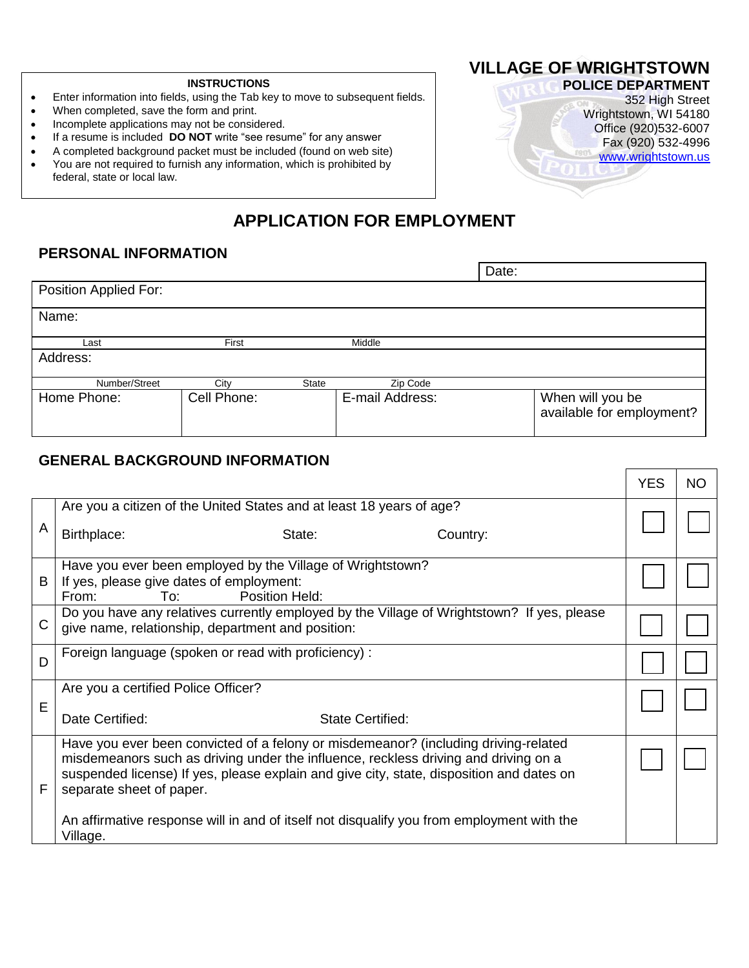#### **INSTRUCTIONS**

- Enter information into fields, using the Tab key to move to subsequent fields.
- When completed, save the form and print.
- Incomplete applications may not be considered.
- If a resume is included **DO NOT** write "see resume" for any answer
- A completed background packet must be included (found on web site)
- You are not required to furnish any information, which is prohibited by federal, state or local law.

# **VILLAGE OF WRIGHTSTOWN**

**POLICE DEPARTMENT** 352 High Street Wrightstown, WI 54180 Office (920)532-6007 Fax (920) 532-4996 www.wrightstown.us

⊤

# **APPLICATION FOR EMPLOYMENT**

### **PERSONAL INFORMATION**

|                       |             |              |                 | Date: |                                               |
|-----------------------|-------------|--------------|-----------------|-------|-----------------------------------------------|
| Position Applied For: |             |              |                 |       |                                               |
| Name:                 |             |              |                 |       |                                               |
| Last                  | First       |              | Middle          |       |                                               |
| Address:              |             |              |                 |       |                                               |
| Number/Street         | City        | <b>State</b> | Zip Code        |       |                                               |
| Home Phone:           | Cell Phone: |              | E-mail Address: |       | When will you be<br>available for employment? |

## **GENERAL BACKGROUND INFORMATION**

|              |                                                                                                                                                                                                                                                                                                                                                                                                             | <b>YES</b> | <b>NO</b> |
|--------------|-------------------------------------------------------------------------------------------------------------------------------------------------------------------------------------------------------------------------------------------------------------------------------------------------------------------------------------------------------------------------------------------------------------|------------|-----------|
| A            | Are you a citizen of the United States and at least 18 years of age?<br>Birthplace:<br>State:<br>Country:                                                                                                                                                                                                                                                                                                   |            |           |
| B            | Have you ever been employed by the Village of Wrightstown?<br>If yes, please give dates of employment:<br>Position Held:<br>To:<br>From:                                                                                                                                                                                                                                                                    |            |           |
| $\mathsf{C}$ | Do you have any relatives currently employed by the Village of Wrightstown? If yes, please<br>give name, relationship, department and position:                                                                                                                                                                                                                                                             |            |           |
| D            | Foreign language (spoken or read with proficiency) :                                                                                                                                                                                                                                                                                                                                                        |            |           |
| E            | Are you a certified Police Officer?<br>Date Certified:<br><b>State Certified:</b>                                                                                                                                                                                                                                                                                                                           |            |           |
| F            | Have you ever been convicted of a felony or misdemeanor? (including driving-related<br>misdemeanors such as driving under the influence, reckless driving and driving on a<br>suspended license) If yes, please explain and give city, state, disposition and dates on<br>separate sheet of paper.<br>An affirmative response will in and of itself not disqualify you from employment with the<br>Village. |            |           |
|              |                                                                                                                                                                                                                                                                                                                                                                                                             |            |           |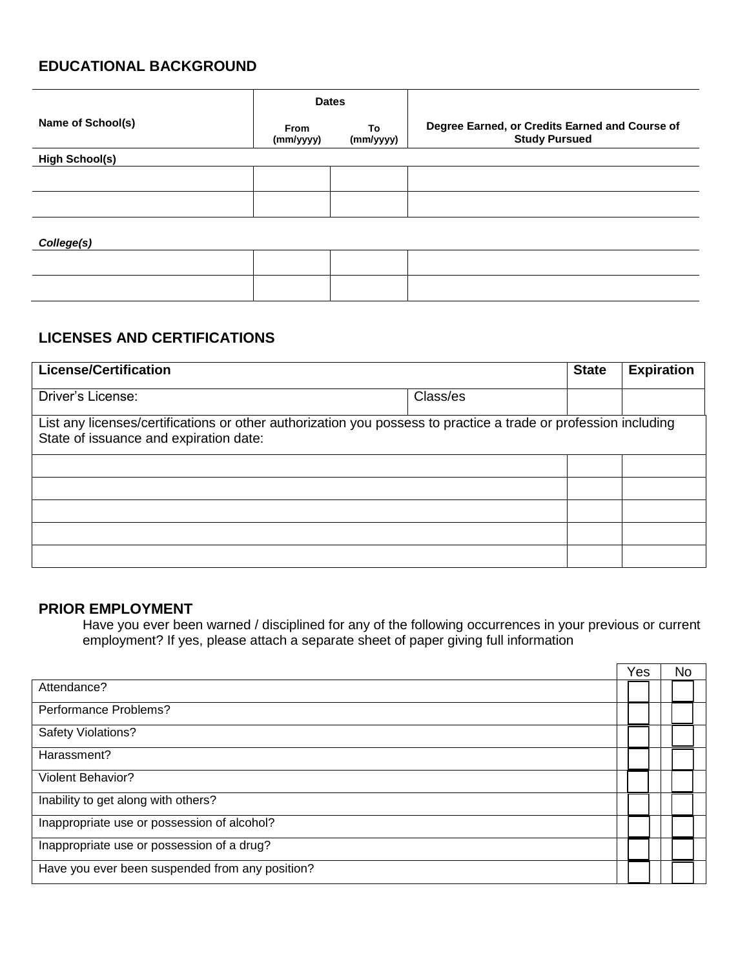### **EDUCATIONAL BACKGROUND**

|                       | <b>Dates</b>      |                 |                                                                        |
|-----------------------|-------------------|-----------------|------------------------------------------------------------------------|
| Name of School(s)     | From<br>(mm/yyyy) | To<br>(mm/yyyy) | Degree Earned, or Credits Earned and Course of<br><b>Study Pursued</b> |
| <b>High School(s)</b> |                   |                 |                                                                        |
|                       |                   |                 |                                                                        |
|                       |                   |                 |                                                                        |
| College(s)            |                   |                 |                                                                        |
|                       |                   |                 |                                                                        |
|                       |                   |                 |                                                                        |

## **LICENSES AND CERTIFICATIONS**

| <b>License/Certification</b>                                                                                                                              |          | <b>State</b> | <b>Expiration</b> |
|-----------------------------------------------------------------------------------------------------------------------------------------------------------|----------|--------------|-------------------|
| Driver's License:                                                                                                                                         | Class/es |              |                   |
| List any licenses/certifications or other authorization you possess to practice a trade or profession including<br>State of issuance and expiration date: |          |              |                   |
|                                                                                                                                                           |          |              |                   |
|                                                                                                                                                           |          |              |                   |
|                                                                                                                                                           |          |              |                   |
|                                                                                                                                                           |          |              |                   |
|                                                                                                                                                           |          |              |                   |

#### **PRIOR EMPLOYMENT**

Have you ever been warned / disciplined for any of the following occurrences in your previous or current employment? If yes, please attach a separate sheet of paper giving full information

 $\overline{y}$  ,  $\overline{y}$  and  $\overline{y}$ 

 $\mathbf{r}$ 

|                                                 | Yes |  | No |
|-------------------------------------------------|-----|--|----|
| Attendance?                                     |     |  |    |
| Performance Problems?                           |     |  |    |
| Safety Violations?                              |     |  |    |
| Harassment?                                     |     |  |    |
| Violent Behavior?                               |     |  |    |
| Inability to get along with others?             |     |  |    |
| Inappropriate use or possession of alcohol?     |     |  |    |
| Inappropriate use or possession of a drug?      |     |  |    |
| Have you ever been suspended from any position? |     |  |    |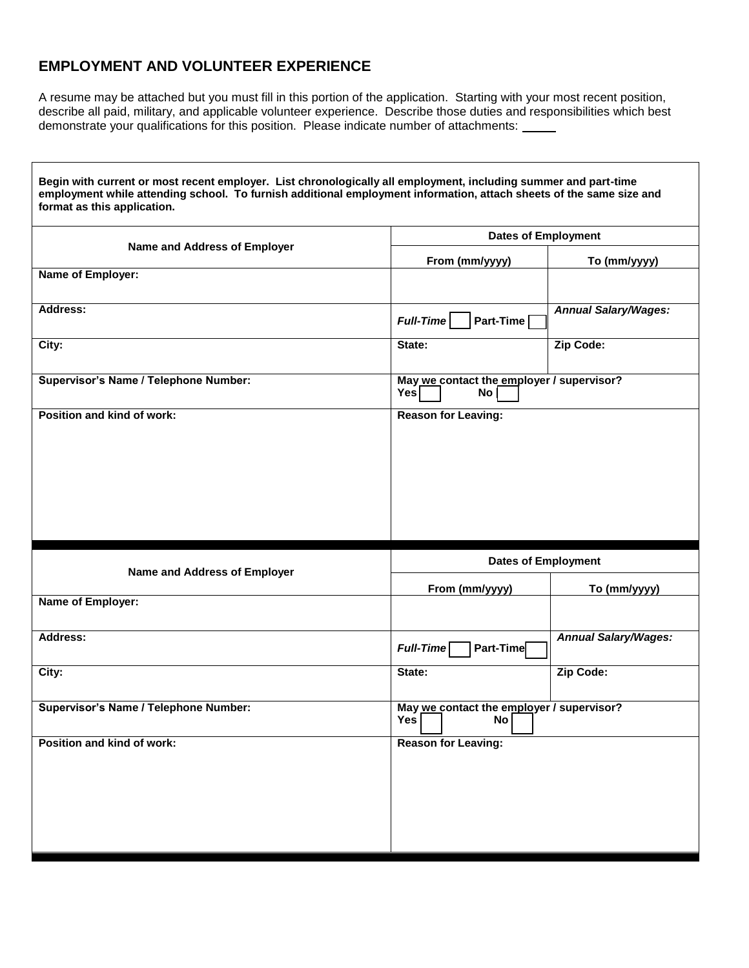### **EMPLOYMENT AND VOLUNTEER EXPERIENCE**

Г

A resume may be attached but you must fill in this portion of the application. Starting with your most recent position, describe all paid, military, and applicable volunteer experience. Describe those duties and responsibilities which best demonstrate your qualifications for this position. Please indicate number of attachments:

٦

| employment while attending school. To furnish additional employment information, attach sheets of the same size and<br>format as this application. | Begin with current or most recent employer. List chronologically all employment, including summer and part-time |                             |  |  |
|----------------------------------------------------------------------------------------------------------------------------------------------------|-----------------------------------------------------------------------------------------------------------------|-----------------------------|--|--|
| Name and Address of Employer                                                                                                                       | <b>Dates of Employment</b>                                                                                      |                             |  |  |
|                                                                                                                                                    | From (mm/yyyy)                                                                                                  | To (mm/yyyy)                |  |  |
| Name of Employer:                                                                                                                                  |                                                                                                                 |                             |  |  |
| Address:                                                                                                                                           | <b>Full-Time</b><br>Part-Time                                                                                   | <b>Annual Salary/Wages:</b> |  |  |
| City:                                                                                                                                              | State:                                                                                                          | Zip Code:                   |  |  |
| Supervisor's Name / Telephone Number:                                                                                                              | May we contact the employer / supervisor?<br>Yes<br>No                                                          |                             |  |  |
| Position and kind of work:                                                                                                                         | <b>Reason for Leaving:</b>                                                                                      |                             |  |  |
|                                                                                                                                                    |                                                                                                                 |                             |  |  |
|                                                                                                                                                    |                                                                                                                 |                             |  |  |
|                                                                                                                                                    |                                                                                                                 |                             |  |  |
|                                                                                                                                                    |                                                                                                                 |                             |  |  |
|                                                                                                                                                    | <b>Dates of Employment</b>                                                                                      |                             |  |  |
| Name and Address of Employer                                                                                                                       | From (mm/yyyy)                                                                                                  | To (mm/yyyy)                |  |  |
| Name of Employer:                                                                                                                                  |                                                                                                                 |                             |  |  |
| <b>Address:</b>                                                                                                                                    | Full-Time<br>Part-Time                                                                                          | <b>Annual Salary/Wages:</b> |  |  |
| City:                                                                                                                                              | State:                                                                                                          | Zip Code:                   |  |  |
| <b>Supervisor's Name / Telephone Number:</b>                                                                                                       | May we contact the employer / supervisor?<br><b>No</b><br>Yes                                                   |                             |  |  |
| Position and kind of work:                                                                                                                         | <b>Reason for Leaving:</b>                                                                                      |                             |  |  |
|                                                                                                                                                    |                                                                                                                 |                             |  |  |
|                                                                                                                                                    |                                                                                                                 |                             |  |  |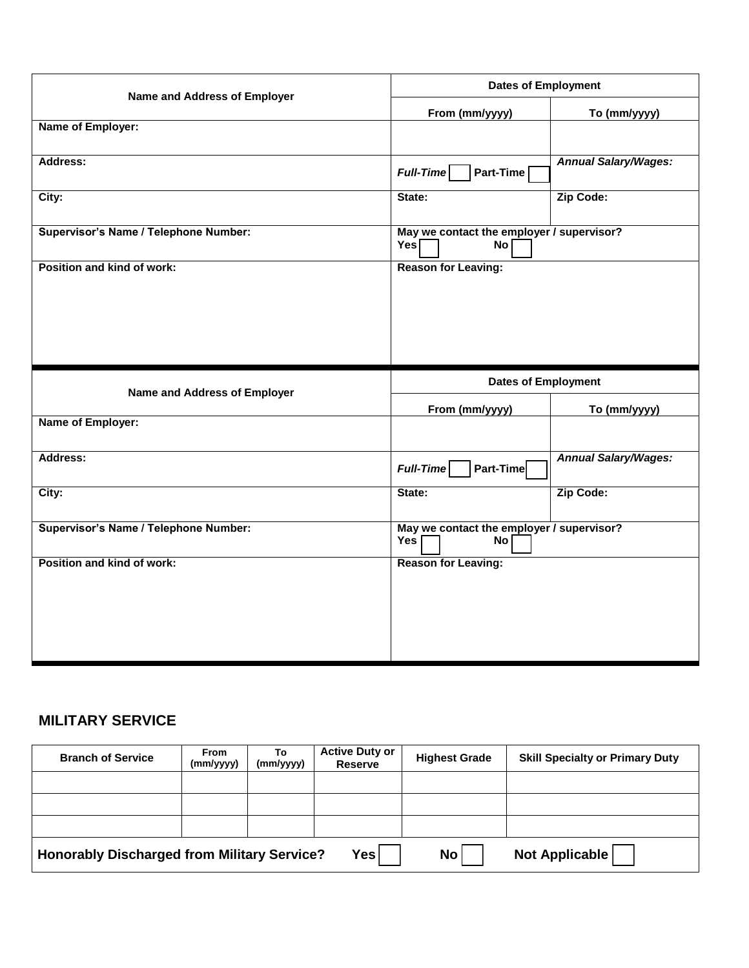| Name and Address of Employer                 | <b>Dates of Employment</b>                               |                             |  |  |
|----------------------------------------------|----------------------------------------------------------|-----------------------------|--|--|
|                                              | From (mm/yyyy)                                           | To (mm/yyyy)                |  |  |
| Name of Employer:                            |                                                          |                             |  |  |
| Address:                                     | <b>Full-Time</b><br>Part-Time                            | <b>Annual Salary/Wages:</b> |  |  |
| City:                                        | State:                                                   | Zip Code:                   |  |  |
| Supervisor's Name / Telephone Number:        | May we contact the employer / supervisor?<br>Yes<br>No I |                             |  |  |
| Position and kind of work:                   | <b>Reason for Leaving:</b>                               |                             |  |  |
|                                              |                                                          |                             |  |  |
|                                              |                                                          |                             |  |  |
|                                              |                                                          |                             |  |  |
|                                              |                                                          |                             |  |  |
|                                              | <b>Dates of Employment</b>                               |                             |  |  |
| Name and Address of Employer                 | From (mm/yyyy)                                           | To (mm/yyyy)                |  |  |
| Name of Employer:                            |                                                          |                             |  |  |
| <b>Address:</b>                              | Part-Time<br>Full-Time                                   | <b>Annual Salary/Wages:</b> |  |  |
| City:                                        | State:                                                   | Zip Code:                   |  |  |
| <b>Supervisor's Name / Telephone Number:</b> | May we contact the employer / supervisor?<br>No<br>Yes   |                             |  |  |
| Position and kind of work:                   | <b>Reason for Leaving:</b>                               |                             |  |  |
|                                              |                                                          |                             |  |  |
|                                              |                                                          |                             |  |  |

## **MILITARY SERVICE**

| <b>Branch of Service</b>                           | <b>From</b><br>(mm/yyyy) | To<br>(mm/yyyy) | <b>Active Duty or</b><br><b>Reserve</b> | <b>Highest Grade</b> | <b>Skill Specialty or Primary Duty</b> |
|----------------------------------------------------|--------------------------|-----------------|-----------------------------------------|----------------------|----------------------------------------|
|                                                    |                          |                 |                                         |                      |                                        |
|                                                    |                          |                 |                                         |                      |                                        |
|                                                    |                          |                 |                                         |                      |                                        |
| <b>Honorably Discharged from Military Service?</b> |                          |                 | Yes                                     | No                   | Not Applicable                         |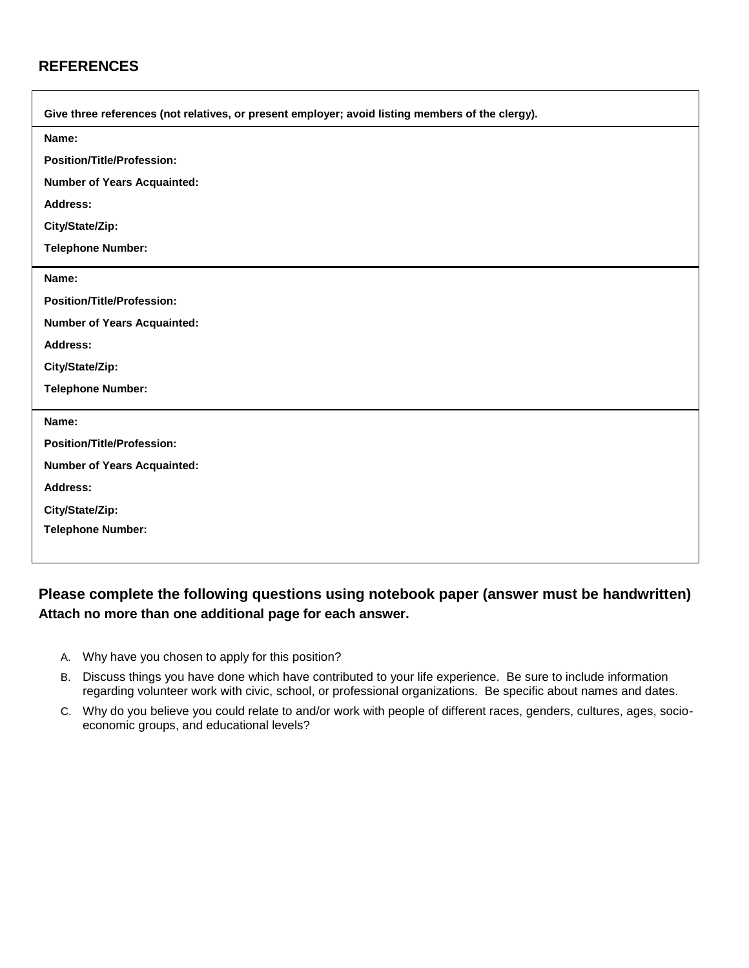### **REFERENCES**

| Give three references (not relatives, or present employer; avoid listing members of the clergy). |
|--------------------------------------------------------------------------------------------------|
| Name:                                                                                            |
| <b>Position/Title/Profession:</b>                                                                |
| <b>Number of Years Acquainted:</b>                                                               |
| Address:                                                                                         |
| City/State/Zip:                                                                                  |
| <b>Telephone Number:</b>                                                                         |
| Name:                                                                                            |
| <b>Position/Title/Profession:</b>                                                                |
| <b>Number of Years Acquainted:</b>                                                               |
| <b>Address:</b>                                                                                  |
| City/State/Zip:                                                                                  |
| <b>Telephone Number:</b>                                                                         |
| Name:                                                                                            |
| <b>Position/Title/Profession:</b>                                                                |
| <b>Number of Years Acquainted:</b>                                                               |
| <b>Address:</b>                                                                                  |
| City/State/Zip:                                                                                  |
| <b>Telephone Number:</b>                                                                         |
|                                                                                                  |

## **Please complete the following questions using notebook paper (answer must be handwritten) Attach no more than one additional page for each answer.**

- A. Why have you chosen to apply for this position?
- B. Discuss things you have done which have contributed to your life experience. Be sure to include information regarding volunteer work with civic, school, or professional organizations. Be specific about names and dates.
- C. Why do you believe you could relate to and/or work with people of different races, genders, cultures, ages, socioeconomic groups, and educational levels?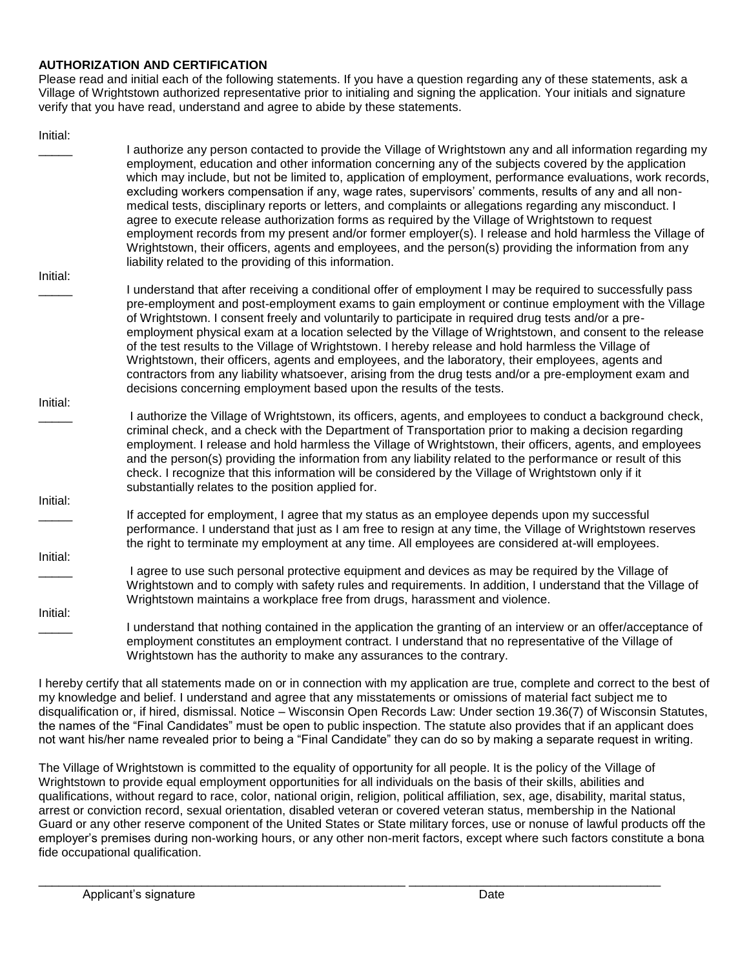#### **AUTHORIZATION AND CERTIFICATION**

Please read and initial each of the following statements. If you have a question regarding any of these statements, ask a Village of Wrightstown authorized representative prior to initialing and signing the application. Your initials and signature verify that you have read, understand and agree to abide by these statements.

| Initial: |                                                                                                                                                                                                                      |
|----------|----------------------------------------------------------------------------------------------------------------------------------------------------------------------------------------------------------------------|
|          | I authorize any person contacted to provide the Village of Wrightstown any and all information regarding my<br>employment, education and other information concerning any of the subjects covered by the application |
|          | which may include, but not be limited to, application of employment, performance evaluations, work records,                                                                                                          |
|          | excluding workers compensation if any, wage rates, supervisors' comments, results of any and all non-                                                                                                                |
|          | medical tests, disciplinary reports or letters, and complaints or allegations regarding any misconduct. I                                                                                                            |
|          | agree to execute release authorization forms as required by the Village of Wrightstown to request<br>employment records from my present and/or former employer(s). I release and hold harmless the Village of        |
|          | Wrightstown, their officers, agents and employees, and the person(s) providing the information from any                                                                                                              |
|          | liability related to the providing of this information.                                                                                                                                                              |
| Initial: |                                                                                                                                                                                                                      |
|          | I understand that after receiving a conditional offer of employment I may be required to successfully pass                                                                                                           |
|          | pre-employment and post-employment exams to gain employment or continue employment with the Village<br>of Wrightstown. I consent freely and voluntarily to participate in required drug tests and/or a pre-          |
|          | employment physical exam at a location selected by the Village of Wrightstown, and consent to the release                                                                                                            |
|          | of the test results to the Village of Wrightstown. I hereby release and hold harmless the Village of                                                                                                                 |
|          | Wrightstown, their officers, agents and employees, and the laboratory, their employees, agents and                                                                                                                   |
|          | contractors from any liability whatsoever, arising from the drug tests and/or a pre-employment exam and                                                                                                              |
| Initial: | decisions concerning employment based upon the results of the tests.                                                                                                                                                 |
|          | I authorize the Village of Wrightstown, its officers, agents, and employees to conduct a background check,                                                                                                           |
|          | criminal check, and a check with the Department of Transportation prior to making a decision regarding                                                                                                               |
|          | employment. I release and hold harmless the Village of Wrightstown, their officers, agents, and employees                                                                                                            |
|          | and the person(s) providing the information from any liability related to the performance or result of this<br>check. I recognize that this information will be considered by the Village of Wrightstown only if it  |
|          | substantially relates to the position applied for.                                                                                                                                                                   |
| Initial: |                                                                                                                                                                                                                      |
|          | If accepted for employment, I agree that my status as an employee depends upon my successful                                                                                                                         |
|          | performance. I understand that just as I am free to resign at any time, the Village of Wrightstown reserves                                                                                                          |
| Initial: | the right to terminate my employment at any time. All employees are considered at-will employees.                                                                                                                    |
|          | I agree to use such personal protective equipment and devices as may be required by the Village of                                                                                                                   |
|          | Wrightstown and to comply with safety rules and requirements. In addition, I understand that the Village of                                                                                                          |
|          | Wrightstown maintains a workplace free from drugs, harassment and violence.                                                                                                                                          |
| Initial: | I understand that nothing contained in the application the granting of an interview or an offer/acceptance of                                                                                                        |
|          | employment constitutes an employment contract. I understand that no representative of the Village of                                                                                                                 |
|          | Wrightstown has the authority to make any assurances to the contrary.                                                                                                                                                |

I hereby certify that all statements made on or in connection with my application are true, complete and correct to the best of my knowledge and belief. I understand and agree that any misstatements or omissions of material fact subject me to disqualification or, if hired, dismissal. Notice – Wisconsin Open Records Law: Under section 19.36(7) of Wisconsin Statutes, the names of the "Final Candidates" must be open to public inspection. The statute also provides that if an applicant does not want his/her name revealed prior to being a "Final Candidate" they can do so by making a separate request in writing.

The Village of Wrightstown is committed to the equality of opportunity for all people. It is the policy of the Village of Wrightstown to provide equal employment opportunities for all individuals on the basis of their skills, abilities and qualifications, without regard to race, color, national origin, religion, political affiliation, sex, age, disability, marital status, arrest or conviction record, sexual orientation, disabled veteran or covered veteran status, membership in the National Guard or any other reserve component of the United States or State military forces, use or nonuse of lawful products off the employer's premises during non-working hours, or any other non-merit factors, except where such factors constitute a bona fide occupational qualification.